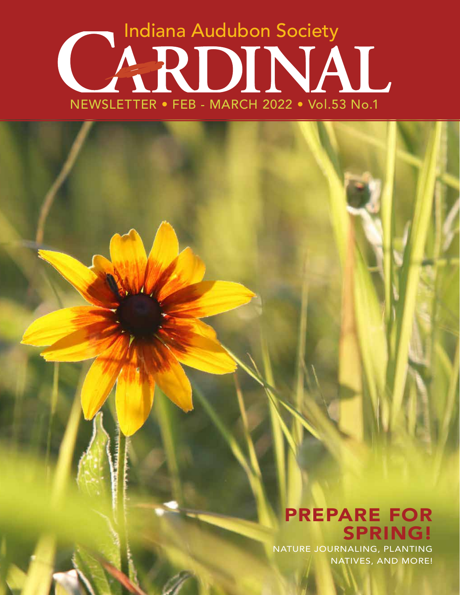# NEWSLETTER • FEB - MARCH 2022 • Vol.53 No.1 Indiana Audubon Society

### PREPARE FOR SPRING!

NATURE JOURNALING, PLANTING NATIVES, AND MORE!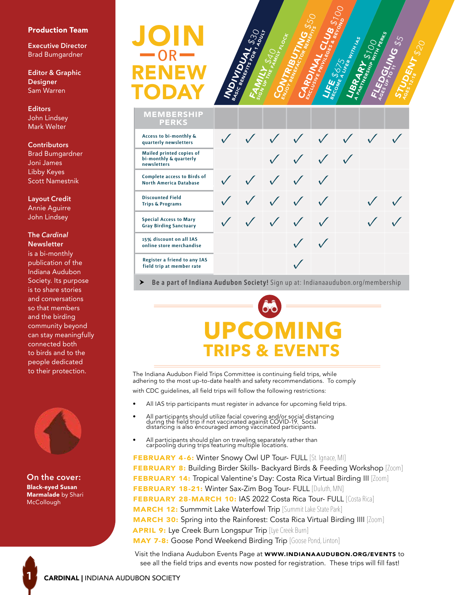#### Production Team

**Executive Director** Brad Bumgardner

**Editor & Graphic Designer** Sam Warren

**Editors** John Lindsey Mark Welter

#### **Contributors**

Brad Bumgardner Joni James Libby Keyes Scott Namestnik

**Layout Credit** Annie Aguirre John Lindsey

#### **The** *Cardinal* **Newsletter**

is a bi-monthly publication of the Indiana Audubon Society. Its purpose is to share stories and conversations so that members and the birding community beyond can stay meaningfully connected both to birds and to the people dedicated to their protection.



**On the cover:** Black-eyed Susan Marmalade by Shari **McCollough** 

**1**

### RENEW JOIN TODAY  $-$ OR $-$



**MEMBERSHIP** 

| <b>PERKS</b>                                                             |  |                                                     |            |             |  |
|--------------------------------------------------------------------------|--|-----------------------------------------------------|------------|-------------|--|
| Access to bi-monthly &<br>quarterly newsletters                          |  |                                                     |            | V V V V V V |  |
| <b>Mailed printed copies of</b><br>bi-monthly & quarterly<br>newsletters |  | $\checkmark$ $\checkmark$ $\checkmark$ $\checkmark$ |            |             |  |
| <b>Complete access to Birds of</b><br><b>North America Database</b>      |  | V V V V                                             |            |             |  |
| <b>Discounted Field</b><br><b>Trips &amp; Programs</b>                   |  | V V V V                                             |            |             |  |
| <b>Special Access to Mary</b><br><b>Gray Birding Sanctuary</b>           |  | $\checkmark$ $\checkmark$ $\checkmark$ $\checkmark$ |            |             |  |
| 15% discount on all IAS<br>online store merchandise                      |  |                                                     | $\sqrt{ }$ |             |  |
| Register a friend to any IAS<br>field trip at member rate                |  |                                                     |            |             |  |
|                                                                          |  |                                                     |            |             |  |

**Be a part of Indiana Audubon Society!** Sign up at: Indianaaudubon.org/membership

## **COMIN TRIPS & EVENTS**

The Indiana Audubon Field Trips Committee is continuing field trips, while adhering to the most up-to-date health and safety recommendations. To comply with CDC guidelines, all field trips will follow the following restrictions:

- All IAS trip participants must register in advance for upcoming field trips.
- All participants should utilize facial covering and/or social distancing during the field trip if not vaccinated against COVID-19. Social distancing is also encouraged among vaccinated participants.
- All participants should plan on traveling separately rather than carpooling during trips featuring multiple locations.

FEBRUARY 4-6: Winter Snowy Owl UP Tour- FULL [St. Ignace, MI] **FEBRUARY 8:** Building Birder Skills- Backyard Birds & Feeding Workshop [Zoom] FEBRUARY 14: Tropical Valentine's Day: Costa Rica Virtual Birding III [Zoom] FEBRUARY 18-21: Winter Sax-Zim Bog Tour- FULL [Duluth, MN] **FEBRUARY 28-MARCH 10: IAS 2022 Costa Rica Tour- FULL [Costa Rica] MARCH 12: Summmit Lake Waterfowl Trip [Summit Lake State Park]** MARCH 30: Spring into the Rainforest: Costa Rica Virtual Birding IIII [Zoom] APRIL 9: Lye Creek Burn Longspur Trip [Lye Creek Burn] MAY 7-8: Goose Pond Weekend Birding Trip [Goose Pond, Linton]

Visit the Indiana Audubon Events Page at WWW.INDIANAAUDUBON.ORG/EVENTS to see all the field trips and events now posted for registration. These trips will fill fast!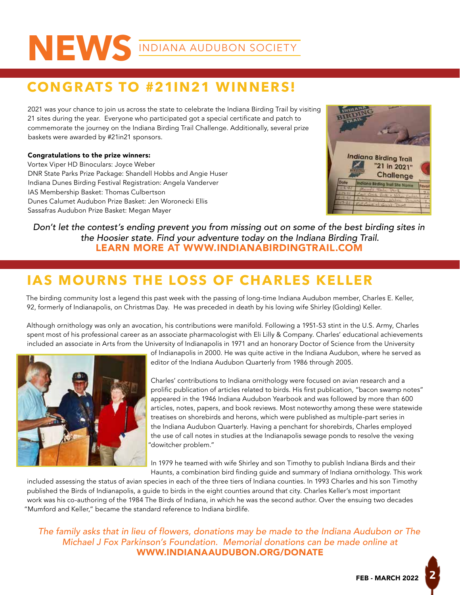## NEWS INDIANA AUDUBON SOCIETY

### **CONGRATS TO #21IN21 WINNERS!**

2021 was your chance to join us across the state to celebrate the Indiana Birding Trail by visiting 21 sites during the year. Everyone who participated got a special certificate and patch to commemorate the journey on the Indiana Birding Trail Challenge. Additionally, several prize baskets were awarded by #21in21 sponsors.

#### Congratulations to the prize winners:

Vortex Viper HD Binoculars: Joyce Weber DNR State Parks Prize Package: Shandell Hobbs and Angie Huser Indiana Dunes Birding Festival Registration: Angela Vanderver IAS Membership Basket: Thomas Culbertson Dunes Calumet Audubon Prize Basket: Jen Woronecki Ellis Sassafras Audubon Prize Basket: Megan Mayer



#### *Don't let the contest's ending prevent you from missing out on some of the best birding sites in the Hoosier state. Find your adventure today on the Indiana Birding Trail.* LEARN MORE AT WWW.INDIANABIRDINGTRAIL.COM

### **IAS MOURNS THE LOSS OF CHARLES KELLER**

The birding community lost a legend this past week with the passing of long-time Indiana Audubon member, Charles E. Keller, 92, formerly of Indianapolis, on Christmas Day. He was preceded in death by his loving wife Shirley (Golding) Keller.

Although ornithology was only an avocation, his contributions were manifold. Following a 1951-53 stint in the U.S. Army, Charles spent most of his professional career as an associate pharmacologist with Eli Lilly & Company. Charles' educational achievements included an associate in Arts from the University of Indianapolis in 1971 and an honorary Doctor of Science from the University



of Indianapolis in 2000. He was quite active in the Indiana Audubon, where he served as editor of the Indiana Audubon Quarterly from 1986 through 2005.

Charles' contributions to Indiana ornithology were focused on avian research and a prolific publication of articles related to birds. His first publication, "bacon swamp notes" appeared in the 1946 Indiana Audubon Yearbook and was followed by more than 600 articles, notes, papers, and book reviews. Most noteworthy among these were statewide treatises on shorebirds and herons, which were published as multiple-part series in the Indiana Audubon Quarterly. Having a penchant for shorebirds, Charles employed the use of call notes in studies at the Indianapolis sewage ponds to resolve the vexing "dowitcher problem."

In 1979 he teamed with wife Shirley and son Timothy to publish Indiana Birds and their Haunts, a combination bird finding guide and summary of Indiana ornithology. This work

included assessing the status of avian species in each of the three tiers of Indiana counties. In 1993 Charles and his son Timothy published the Birds of Indianapolis, a guide to birds in the eight counties around that city. Charles Keller's most important work was his co-authoring of the 1984 The Birds of Indiana, in which he was the second author. Over the ensuing two decades "Mumford and Keller," became the standard reference to Indiana birdlife.

*The family asks that in lieu of flowers, donations may be made to the Indiana Audubon or The Michael J Fox Parkinson's Foundation. Memorial donations can be made online at* WWW.INDIANAAUDUBON.ORG/DONATE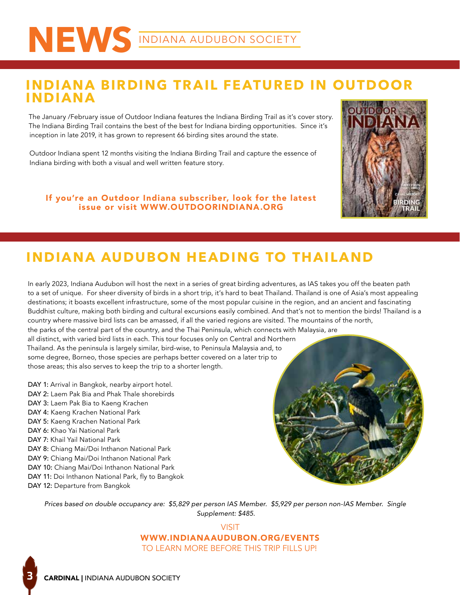### **INDIANA BIRDING TR AIL FE ATURED IN OUTDOOR INDIANA**

The January /February issue of Outdoor Indiana features the Indiana Birding Trail as it's cover story. The Indiana Birding Trail contains the best of the best for Indiana birding opportunities. Since it's inception in late 2019, it has grown to represent 66 birding sites around the state.

Outdoor Indiana spent 12 months visiting the Indiana Birding Trail and capture the essence of Indiana birding with both a visual and well written feature story.

If you're an Outdoor Indiana subscriber, look for the latest issue or visit WWW.OUTDOORINDIANA.ORG



### **INDIANA AUDUBON HEADING TO THAILAND**

In early 2023, Indiana Audubon will host the next in a series of great birding adventures, as IAS takes you off the beaten path to a set of unique. For sheer diversity of birds in a short trip, it's hard to beat Thailand. Thailand is one of Asia's most appealing destinations; it boasts excellent infrastructure, some of the most popular cuisine in the region, and an ancient and fascinating Buddhist culture, making both birding and cultural excursions easily combined. And that's not to mention the birds! Thailand is a country where massive bird lists can be amassed, if all the varied regions are visited. The mountains of the north, the parks of the central part of the country, and the Thai Peninsula, which connects with Malaysia, are all distinct, with varied bird lists in each. This tour focuses only on Central and Northern Thailand. As the peninsula is largely similar, bird-wise, to Peninsula Malaysia and, to some degree, Borneo, those species are perhaps better covered on a later trip to those areas; this also serves to keep the trip to a shorter length.

DAY 1: Arrival in Bangkok, nearby airport hotel. DAY 2: Laem Pak Bia and Phak Thale shorebirds DAY 3: Laem Pak Bia to Kaeng Krachen DAY 4: Kaeng Krachen National Park DAY 5: Kaeng Krachen National Park DAY 6: Khao Yai National Park DAY 7: Khail Yail National Park DAY 8: Chiang Mai/Doi Inthanon National Park DAY 9: Chiang Mai/Doi Inthanon National Park DAY 10: Chiang Mai/Doi Inthanon National Park DAY 11: Doi Inthanon National Park, fly to Bangkok DAY 12: Departure from Bangkok



*Prices based on double occupancy are: \$5,829 per person IAS Member. \$5,929 per person non-IAS Member. Single Supplement: \$485.* 

> VISIT WWW.INDIANAAUDUBON.ORG/EVENTS TO LEARN MORE BEFORE THIS TRIP FILLS UP!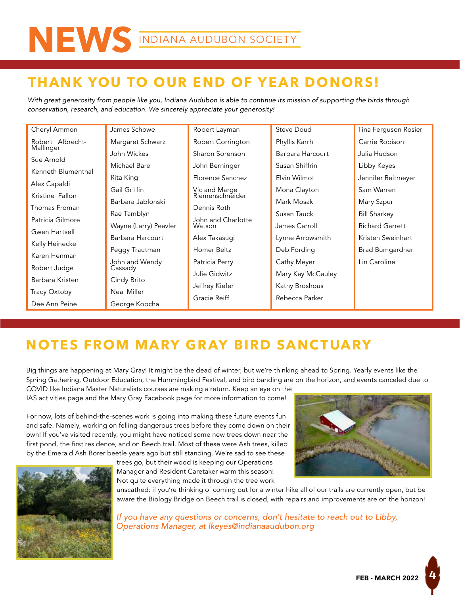### **THANK YOU TO OUR END OF YEAR DONORS!**

*With great generosity from people like you, Indiana Audubon is able to continue its mission of supporting the birds through conservation, research, and education. We sincerely appreciate your generosity!*

| Cheryl Ammon       | James Schowe          | Robert Layman                    | Steve Doud        | Tina Ferguson Rosier   |  |
|--------------------|-----------------------|----------------------------------|-------------------|------------------------|--|
| Robert Albrecht-   | Margaret Schwarz      | Robert Corrington                | Phyllis Karrh     | Carrie Robison         |  |
| Mallinger          | John Wickes           | Sharon Sorenson                  | Barbara Harcourt  | Julia Hudson.          |  |
| Sue Arnold         | Michael Bare          | John Berninger                   | Susan Shiffrin    | Libby Keyes            |  |
| Kenneth Blumenthal | Rita King             | Florence Sanchez                 | Elvin Wilmot      | Jennifer Reitmeyer     |  |
| Alex Capaldi       | Gail Griffin          | Vic and Marge<br>Riemenschneider | Mona Clayton      | Sam Warren             |  |
| Kristine Fallon    | Barbara Jablonski     |                                  | Mark Mosak        | Mary Szpur             |  |
| Thomas Froman      | Rae Tamblyn           | Dennis Roth                      | Susan Tauck       | <b>Bill Sharkey</b>    |  |
| Patricia Gilmore   | Wayne (Larry) Peavler | John and Charlotte<br>Watson     | James Carroll     | <b>Richard Garrett</b> |  |
| Gwen Hartsell      | Barbara Harcourt      | Alex Takasugi                    | Lynne Arrowsmith  | Kristen Sweinhart      |  |
| Kelly Heinecke     | Peggy Trautman        | Homer Beltz                      | Deb Fording       | <b>Brad Bumgardner</b> |  |
| Karen Henman       | John and Wendy        | Patricia Perry                   | Cathy Meyer       | Lin Caroline           |  |
| Robert Judge       | Cassady               | Julie Gidwitz                    | Mary Kay McCauley |                        |  |
| Barbara Kristen    | Cindy Brito           |                                  |                   |                        |  |
| Tracy Oxtoby       | Neal Miller           | Jeffrey Kiefer                   | Kathy Broshous    |                        |  |
| Dee Ann Peine      | George Kopcha         | Gracie Reiff                     | Rebecca Parker    |                        |  |

### **NOTES FROM MARY GRAY BIRD SANCTUARY**

Big things are happening at Mary Gray! It might be the dead of winter, but we're thinking ahead to Spring. Yearly events like the Spring Gathering, Outdoor Education, the Hummingbird Festival, and bird banding are on the horizon, and events canceled due to

COVID like Indiana Master Naturalists courses are making a return. Keep an eye on the IAS activities page and the Mary Gray Facebook page for more information to come!

For now, lots of behind-the-scenes work is going into making these future events fun and safe. Namely, working on felling dangerous trees before they come down on their own! If you've visited recently, you might have noticed some new trees down near the first pond, the first residence, and on Beech trail. Most of these were Ash trees, killed by the Emerald Ash Borer beetle years ago but still standing. We're sad to see these

> trees go, but their wood is keeping our Operations Manager and Resident Caretaker warm this season! Not quite everything made it through the tree work



unscathed: if you're thinking of coming out for a winter hike all of our trails are currently open, but be aware the Biology Bridge on Beech trail is closed, with repairs and improvements are on the horizon!

*If you have any questions or concerns, don't hesitate to reach out to Libby, Operations Manager, at lkeyes@indianaaudubon.org*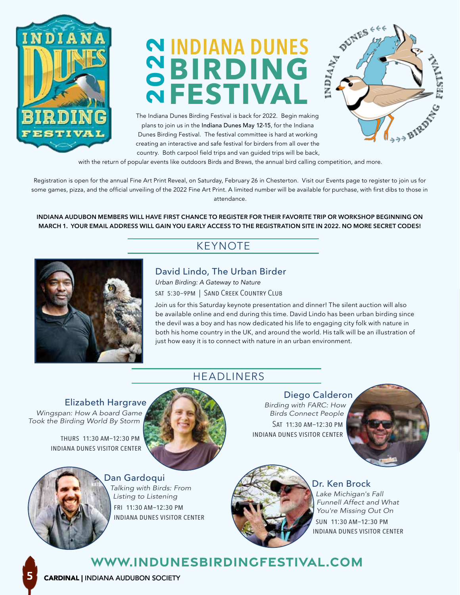

### **BIRDING FESTIVAL INDIANA DUNES 2022**

The Indiana Dunes Birding Festival is back for 2022. Begin making plans to join us in the Indiana Dunes May 12-15, for the Indiana Dunes Birding Festival. The festival committee is hard at working creating an interactive and safe festival for birders from all over the country. Both carpool field trips and van guided trips will be back,



with the return of popular events like outdoors Birds and Brews, the annual bird calling competition, and more.

Registration is open for the annual Fine Art Print Reveal, on Saturday, February 26 in Chesterton. Visit our Events page to register to join us for some games, pizza, and the official unveiling of the 2022 Fine Art Print. A limited number will be available for purchase, with first dibs to those in attendance.

**INDIANA AUDUBON MEMBERS WILL HAVE FIRST CHANCE TO REGISTER FOR THEIR FAVORITE TRIP OR WORKSHOP BEGINNING ON MARCH 1. YOUR EMAIL ADDRESS WILL GAIN YOU EARLY ACCESS TO THE REGISTRATION SITE IN 2022. NO MORE SECRET CODES!**

### KEYNOTE



David Lindo, The Urban Birder *Urban Birding: A Gateway to Nature* sat 5:30–9pm | Sand Creek Country Club

HEADLINERS

Join us for this Saturday keynote presentation and dinner! The silent auction will also be available online and end during this time. David Lindo has been urban birding since the devil was a boy and has now dedicated his life to engaging city folk with nature in both his home country in the UK, and around the world. His talk will be an illustration of just how easy it is to connect with nature in an urban environment.

Elizabeth Hargrave *Wingspan: How A board Game Took the Birding World By Storm*

> thurs 11:30 am–12:30 pm indiana dunes visitor center



Diego Calderon *Birding with FARC: How Birds Connect People* Sat 11:30 am–12:30 pm indiana dunes visitor center





Dan Gardoqui *Talking with Birds: From Listing to Listening* fri 11:30 am–12:30 pm indiana dunes visitor center



Dr. Ken Brock *Lake Michigan's Fall Funnell Affect and What You're Missing Out On* sun 11:30 am–12:30 pm indiana dunes visitor center

### **www.indunesbirdingfestival.com**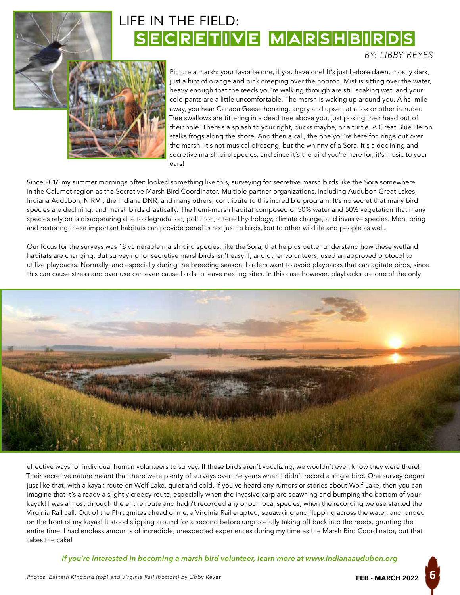

### SECRETIVE MARSHBIRDS LIFE IN THE FIELD:

*BY: LIBBY KEYES*

Picture a marsh: your favorite one, if you have one! It's just before dawn, mostly dark, just a hint of orange and pink creeping over the horizon. Mist is sitting over the water, heavy enough that the reeds you're walking through are still soaking wet, and your cold pants are a little uncomfortable. The marsh is waking up around you. A hal mile away, you hear Canada Geese honking, angry and upset, at a fox or other intruder. Tree swallows are tittering in a dead tree above you, just poking their head out of their hole. There's a splash to your right, ducks maybe, or a turtle. A Great Blue Heron stalks frogs along the shore. And then a call, the one you're here for, rings out over the marsh. It's not musical birdsong, but the whinny of a Sora. It's a declining and secretive marsh bird species, and since it's the bird you're here for, it's music to your ears!

Since 2016 my summer mornings often looked something like this, surveying for secretive marsh birds like the Sora somewhere in the Calumet region as the Secretive Marsh Bird Coordinator. Multiple partner organizations, including Audubon Great Lakes, Indiana Audubon, NIRMI, the Indiana DNR, and many others, contribute to this incredible program. It's no secret that many bird species are declining, and marsh birds drastically. The hemi-marsh habitat composed of 50% water and 50% vegetation that many species rely on is disappearing due to degradation, pollution, altered hydrology, climate change, and invasive species. Monitoring and restoring these important habitats can provide benefits not just to birds, but to other wildlife and people as well.

Our focus for the surveys was 18 vulnerable marsh bird species, like the Sora, that help us better understand how these wetland habitats are changing. But surveying for secretive marshbirds isn't easy! I, and other volunteers, used an approved protocol to utilize playbacks. Normally, and especially during the breeding season, birders want to avoid playbacks that can agitate birds, since this can cause stress and over use can even cause birds to leave nesting sites. In this case however, playbacks are one of the only



effective ways for individual human volunteers to survey. If these birds aren't vocalizing, we wouldn't even know they were there! Their secretive nature meant that there were plenty of surveys over the years when I didn't record a single bird. One survey began just like that, with a kayak route on Wolf Lake, quiet and cold. If you've heard any rumors or stories about Wolf Lake, then you can imagine that it's already a slightly creepy route, especially when the invasive carp are spawning and bumping the bottom of your kayak! I was almost through the entire route and hadn't recorded any of our focal species, when the recording we use started the Virginia Rail call. Out of the Phragmites ahead of me, a Virginia Rail erupted, squawking and flapping across the water, and landed on the front of my kayak! It stood slipping around for a second before ungracefully taking off back into the reeds, grunting the entire time. I had endless amounts of incredible, unexpected experiences during my time as the Marsh Bird Coordinator, but that takes the cake!

*If you're interested in becoming a marsh bird volunteer, learn more at www.indianaaudubon.org*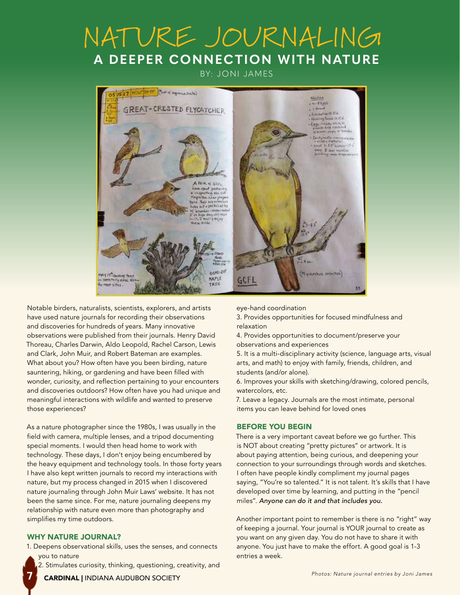### NATURE JOURNALING **A DEEPER CONNECTION WITH NATURE**

BY: JONI JAMES



Notable birders, naturalists, scientists, explorers, and artists have used nature journals for recording their observations and discoveries for hundreds of years. Many innovative observations were published from their journals. Henry David Thoreau, Charles Darwin, Aldo Leopold, Rachel Carson, Lewis and Clark, John Muir, and Robert Bateman are examples. What about you? How often have you been birding, nature sauntering, hiking, or gardening and have been filled with wonder, curiosity, and reflection pertaining to your encounters and discoveries outdoors? How often have you had unique and meaningful interactions with wildlife and wanted to preserve those experiences?

As a nature photographer since the 1980s, I was usually in the field with camera, multiple lenses, and a tripod documenting special moments. I would then head home to work with technology. These days, I don't enjoy being encumbered by the heavy equipment and technology tools. In those forty years I have also kept written journals to record my interactions with nature, but my process changed in 2015 when I discovered nature journaling through John Muir Laws' website. It has not been the same since. For me, nature journaling deepens my relationship with nature even more than photography and simplifies my time outdoors.

#### WHY NATURE JOURNAL?

**7**

1. Deepens observational skills, uses the senses, and connects you to nature

2. Stimulates curiosity, thinking, questioning, creativity, and

eye-hand coordination

3. Provides opportunities for focused mindfulness and relaxation

4. Provides opportunities to document/preserve your observations and experiences

5. It is a multi-disciplinary activity (science, language arts, visual arts, and math) to enjoy with family, friends, children, and students (and/or alone).

6. Improves your skills with sketching/drawing, colored pencils, watercolors, etc.

7. Leave a legacy. Journals are the most intimate, personal items you can leave behind for loved ones

#### BEFORE YOU BEGIN

There is a very important caveat before we go further. This is NOT about creating "pretty pictures" or artwork. It is about paying attention, being curious, and deepening your connection to your surroundings through words and sketches. I often have people kindly compliment my journal pages saying, "You're so talented." It is not talent. It's skills that I have developed over time by learning, and putting in the "pencil miles". *Anyone can do it and that includes you.*

Another important point to remember is there is no "right" way of keeping a journal. Your journal is YOUR journal to create as you want on any given day. You do not have to share it with anyone. You just have to make the effort. A good goal is 1-3 entries a week.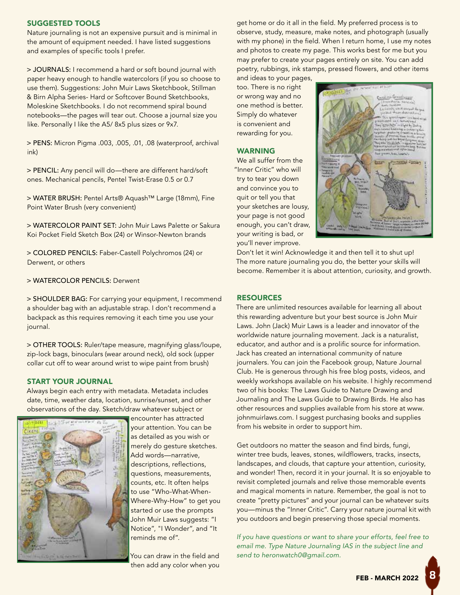#### SUGGESTED TOOLS

Nature journaling is not an expensive pursuit and is minimal in the amount of equipment needed. I have listed suggestions and examples of specific tools I prefer.

> JOURNALS: I recommend a hard or soft bound journal with paper heavy enough to handle watercolors (if you so choose to use them). Suggestions: John Muir Laws Sketchbook, Stillman & Birn Alpha Series- Hard or Softcover Bound Sketchbooks, Moleskine Sketchbooks. I do not recommend spiral bound notebooks—the pages will tear out. Choose a journal size you like. Personally I like the A5/ 8x5 plus sizes or 9x7.

> PENS: Micron Pigma .003, .005, .01, .08 (waterproof, archival ink)

> PENCIL: Any pencil will do—there are different hard/soft ones. Mechanical pencils, Pentel Twist-Erase 0.5 or 0.7

> WATER BRUSH: Pentel Arts® Aquash™ Large (18mm), Fine Point Water Brush (very convenient)

> WATERCOLOR PAINT SET: John Muir Laws Palette or Sakura Koi Pocket Field Sketch Box (24) or Winsor-Newton brands

> COLORED PENCILS: Faber-Castell Polychromos (24) or Derwent, or others

> WATERCOLOR PENCILS: Derwent

> SHOULDER BAG: For carrying your equipment, I recommend a shoulder bag with an adjustable strap. I don't recommend a backpack as this requires removing it each time you use your journal.

> OTHER TOOLS: Ruler/tape measure, magnifying glass/loupe, zip-lock bags, binoculars (wear around neck), old sock (upper collar cut off to wear around wrist to wipe paint from brush)

#### START YOUR JOURNAL

Always begin each entry with metadata. Metadata includes date, time, weather data, location, sunrise/sunset, and other observations of the day. Sketch/draw whatever subject or



encounter has attracted your attention. You can be as detailed as you wish or merely do gesture sketches. Add words—narrative, descriptions, reflections, questions, measurements, counts, etc. It often helps to use "Who-What-When-Where-Why-How" to get you started or use the prompts John Muir Laws suggests: "I Notice", "I Wonder", and "It reminds me of".

You can draw in the field and then add any color when you

get home or do it all in the field. My preferred process is to observe, study, measure, make notes, and photograph (usually with my phone) in the field. When I return home, I use my notes and photos to create my page. This works best for me but you may prefer to create your pages entirely on site. You can add poetry, rubbings, ink stamps, pressed flowers, and other items

and ideas to your pages, too. There is no right or wrong way and no one method is better. Simply do whatever is convenient and rewarding for you.

#### WARNING

We all suffer from the "Inner Critic" who will try to tear you down and convince you to quit or tell you that your sketches are lousy, your page is not good enough, you can't draw, your writing is bad, or you'll never improve.



Don't let it win! Acknowledge it and then tell it to shut up! The more nature journaling you do, the better your skills will become. Remember it is about attention, curiosity, and growth.

#### **RESOURCES**

There are unlimited resources available for learning all about this rewarding adventure but your best source is John Muir Laws. John (Jack) Muir Laws is a leader and innovator of the worldwide nature journaling movement. Jack is a naturalist, educator, and author and is a prolific source for information. Jack has created an international community of nature journalers. You can join the Facebook group, Nature Journal Club. He is generous through his free blog posts, videos, and weekly workshops available on his website. I highly recommend two of his books: The Laws Guide to Nature Drawing and Journaling and The Laws Guide to Drawing Birds. He also has other resources and supplies available from his store at www. johnmuirlaws.com. I suggest purchasing books and supplies from his website in order to support him.

Get outdoors no matter the season and find birds, fungi, winter tree buds, leaves, stones, wildflowers, tracks, insects, landscapes, and clouds, that capture your attention, curiosity, and wonder! Then, record it in your journal. It is so enjoyable to revisit completed journals and relive those memorable events and magical moments in nature. Remember, the goal is not to create "pretty pictures" and your journal can be whatever suits you—minus the "Inner Critic". Carry your nature journal kit with you outdoors and begin preserving those special moments.

*If you have questions or want to share your efforts, feel free to email me. Type Nature Journaling IAS in the subject line and send to heronwatch0@gmail.com.*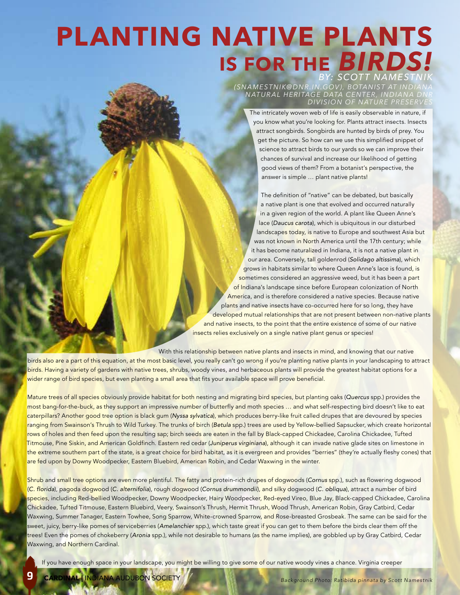## **PLANTING NATIVE PLANTS IS FOR THE** *BIRDS! BY: SCOTT NAMESTNIK*

*(SNAMES TNIK@ DNR .IN.GOV ), BOTANIS T AT INDIANA NATUR AL HERITAGE DATA CENTER, INDIANA DNR DIVISION OF NATURE PRESERVES*

The intricately woven web of life is easily observable in nature, if you know what you're looking for. Plants attract insects. Insects attract songbirds. Songbirds are hunted by birds of prey. You get the picture. So how can we use this simplified snippet of science to attract birds to our yards so we can improve their chances of survival and increase our likelihood of getting good views of them? From a botanist's perspective, the answer is simple … plant native plants!

The definition of "native" can be debated, but basically a native plant is one that evolved and occurred naturally in a given region of the world. A plant like Queen Anne's lace (*Daucus carota*), which is ubiquitous in our disturbed landscapes today, is native to Europe and southwest Asia but was not known in North America until the 17th century; while it has become naturalized in Indiana, it is not a native plant in our area. Conversely, tall goldenrod (*Solidago altissima*), which grows in habitats similar to where Queen Anne's lace is found, is sometimes considered an aggressive weed, but it has been a part of Indiana's landscape since before European colonization of North America, and is therefore considered a native species. Because native plants and native insects have co-occurred here for so long, they have developed mutual relationships that are not present between non-native plants and native insects, to the point that the entire existence of some of our native insects relies exclusively on a single native plant genus or species!

With this relationship between native plants and insects in mind, and knowing that our native

birds also are a part of this equation, at the most basic level, you really can't go wrong if you're planting native plants in your landscaping to attract birds. Having a variety of gardens with native trees, shrubs, woody vines, and herbaceous plants will provide the greatest habitat options for a wider range of bird species, but even planting a small area that fits your available space will prove beneficial.

Mature trees of all species obviously provide habitat for both nesting and migrating bird species, but planting oaks (*Quercus* spp.) provides the most bang-for-the-buck, as they support an impressive number of butterfly and moth species … and what self-respecting bird doesn't like to eat caterpillars? Another good tree option is black gum (*Nyssa sylvatica*), which produces berry-like fruit called drupes that are devoured by species ranging from Swainson's Thrush to Wild Turkey. The trunks of birch (*Betula* spp.) trees are used by Yellow-bellied Sapsucker, which create horizontal rows of holes and then feed upon the resulting sap; birch seeds are eaten in the fall by Black-capped Chickadee, Carolina Chickadee, Tufted Titmouse, Pine Siskin, and American Goldfinch. Eastern red cedar (*Juniperus virginiana*), although it can invade native glade sites on limestone in the extreme southern part of the state, is a great choice for bird habitat, as it is evergreen and provides "berries" (they're actually fleshy cones) that are fed upon by Downy Woodpecker, Eastern Bluebird, American Robin, and Cedar Waxwing in the winter.

Shrub and small tree options are even more plentiful. The fatty and protein-rich drupes of dogwoods (*Cornus* spp.), such as flowering dogwood (*C. florida*), pagoda dogwood (*C. alternifolia*), rough dogwood (*Cornus drummondii*), and silky dogwood (*C. obliqua*), attract a number of bird species, including Red-bellied Woodpecker, Downy Woodpecker, Hairy Woodpecker, Red-eyed Vireo, Blue Jay, Black-capped Chickadee, Carolina Chickadee, Tufted Titmouse, Eastern Bluebird, Veery, Swainson's Thrush, Hermit Thrush, Wood Thrush, American Robin, Gray Catbird, Cedar Waxwing, Summer Tanager, Eastern Towhee, Song Sparrow, White-crowned Sparrow<mark>, and</mark> Rose-breasted Grosbeak. The same can be said for the sweet, juicy, berry-like pomes of serviceberries (*Amelanchier* spp.), which taste great if you can get to them before the birds clear them off the trees! Even the pomes of chokeberry (*Aronia* spp.), while not desirable to humans (as the name implies), are gobbled up by Gray Catbird, Cedar Waxwing, and Northern Cardinal.

If you have enough space in your landscape, you might be willing to give some of our native woody vines a chance. Virginia creeper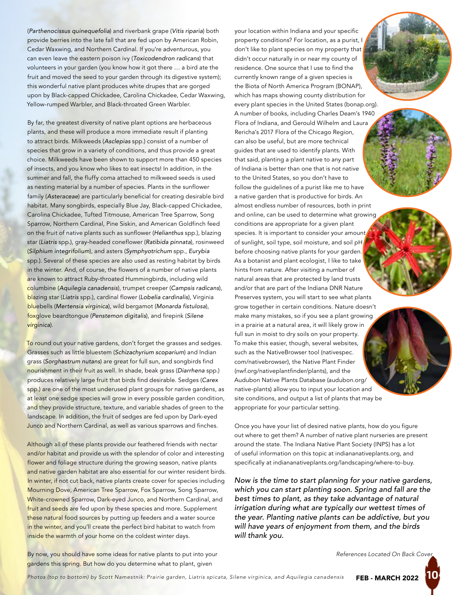(*Parthenocissus quinequefolia*) and riverbank grape (*Vitis riparia*) both provide berries into the late fall that are fed upon by American Robin, Cedar Waxwing, and Northern Cardinal. If you're adventurous, you can even leave the eastern poison ivy (*Toxicodendron radicans*) that volunteers in your garden (you know how it got there … a bird ate the fruit and moved the seed to your garden through its digestive system); this wonderful native plant produces white drupes that are gorged upon by Black-capped Chickadee, Carolina Chickadee, Cedar Waxwing, Yellow-rumped Warbler, and Black-throated Green Warbler.

By far, the greatest diversity of native plant options are herbaceous plants, and these will produce a more immediate result if planting to attract birds. Milkweeds (*Asclepias* spp.) consist of a number of species that grow in a variety of conditions, and thus provide a great choice. Milkweeds have been shown to support more than 450 species of insects, and you know who likes to eat insects! In addition, in the summer and fall, the fluffy coma attached to milkweed seeds is used as nesting material by a number of species. Plants in the sunflower family (*Asteraceae*) are particularly beneficial for creating desirable bird habitat. Many songbirds, especially Blue Jay, Black-capped Chickadee, Carolina Chickadee, Tufted Titmouse, American Tree Sparrow, Song Sparrow, Northern Cardinal, Pine Siskin, and American Goldfinch feed on the fruit of native plants such as sunflower (*Helianthus* spp.), blazing star (*Liatris* spp.), gray-headed coneflower (*Ratibida pinnata*), rosinweed (*Silphium integrifolium*), and asters (*Symphyotrichum* spp., *Eurybia* spp.). Several of these species are also used as resting habitat by birds in the winter. And, of course, the flowers of a number of native plants are known to attract Ruby-throated Hummingbirds, including wild columbine (*Aquilegia canadensis*), trumpet creeper (*Campsis radicans*), blazing star (*Liatris* spp.), cardinal flower (*Lobelia cardinalis*), Virginia bluebells (*Mertensia virginica*), wild bergamot (*Monarda fistulosa*), foxglove beardtongue (*Penstemon digitalis*), and firepink (*Silene virginica*).

To round out your native gardens, don't forget the grasses and sedges. Grasses such as little bluestem (*Schizachyrium scoparium*) and Indian grass (*Sorghastrum nutans*) are great for full sun, and songbirds find nourishment in their fruit as well. In shade, beak grass (*Diarrhena* spp.) produces relatively large fruit that birds find desirable. Sedges (*Carex* spp.) are one of the most underused plant groups for native gardens, as at least one sedge species will grow in every possible garden condition, and they provide structure, texture, and variable shades of green to the landscape. In addition, the fruit of sedges are fed upon by Dark-eyed Junco and Northern Cardinal, as well as various sparrows and finches.

Although all of these plants provide our feathered friends with nectar and/or habitat and provide us with the splendor of color and interesting flower and foliage structure during the growing season, native plants and native garden habitat are also essential for our winter resident birds. In winter, if not cut back, native plants create cover for species including Mourning Dove, American Tree Sparrow, Fox Sparrow, Song Sparrow, White-crowned Sparrow, Dark-eyed Junco, and Northern Cardinal, and fruit and seeds are fed upon by these species and more. Supplement these natural food sources by putting up feeders and a water source in the winter, and you'll create the perfect bird habitat to watch from inside the warmth of your home on the coldest winter days.

your location within Indiana and your specific property conditions? For location, as a purist, I don't like to plant species on my property that didn't occur naturally in or near my county of residence. One source that I use to find the currently known range of a given species is the Biota of North America Program (BONAP), which has maps showing county distribution for every plant species in the United States (bonap.org). A number of books, including Charles Deam's 1940 Flora of Indiana, and Gerould Wilhelm and Laura Rericha's 2017 Flora of the Chicago Region, can also be useful, but are more technical guides that are used to identify plants. With that said, planting a plant native to any part of Indiana is better than one that is not native to the United States, so you don't have to follow the guidelines of a purist like me to have a native garden that is productive for birds. An almost endless number of resources, both in print and online, can be used to determine what growing conditions are appropriate for a given plant species. It is important to consider your amount of sunlight, soil type, soil moisture, and soil pH before choosing native plants for your garden. As a botanist and plant ecologist, I like to take hints from nature. After visiting a number of natural areas that are protected by land trusts and/or that are part of the Indiana DNR Nature Preserves system, you will start to see what plants grow together in certain conditions. Nature doesn't make many mistakes, so if you see a plant growing in a prairie at a natural area, it will likely grow in full sun in moist to dry soils on your property. To make this easier, though, several websites, such as the NativeBrowser tool (nativespec. com/nativebrowser), the Native Plant Finder (nwf.org/nativeplantfinder/plants), and the Audubon Native Plants Database (audubon.org/ native-plants) allow you to input your location and site conditions, and output a list of plants that may be appropriate for your particular setting.

Once you have your list of desired native plants, how do you figure out where to get them? A number of native plant nurseries are present around the state. The Indiana Native Plant Society (INPS) has a lot of useful information on this topic at indiananativeplants.org, and specifically at indiananativeplants.org/landscaping/where-to-buy.

*Now is the time to start planning for your native gardens, which you can start planting soon. Spring and fall are the best times to plant, as they take advantage of natural irrigation during what are typically our wettest times of the year. Planting native plants can be addictive, but you will have years of enjoyment from them, and the birds will thank you.*

*References Located On Back Cover*

By now, you should have some ideas for native plants to put into your gardens this spring. But how do you determine what to plant, given